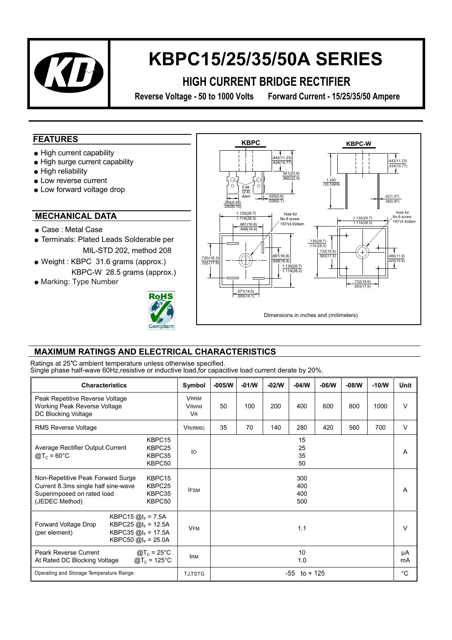

## **KBPC15/25/35/50A SERIES**

### **HIGH CURRENT BRIDGE RECTIFIER**

**Reverse Voltage - 50 to 1000 Volts Forward Current - 15/25/35/50 Ampere** 

#### **FEATURES**

- High current capability
- High surge current capability
- High reliability
- Low reverse current
- Low forward voltage drop

#### **MECHANICAL DATA**

- Case : Metal Case
- Terminals: Plated Leads Solderable per MIL-STD 202, method 208
- Weight : KBPC 31.6 grams (approx.) KBPC-W 28.5 grams (approx.)
- Marking: Type Number





#### **MAXIMUM R A TINGS AND ELECTRICAL CHARACTERISTICS**

Ratings at 25°C ambient temperature unless otherwise specified. Single phase half-wave 60Hz,resistive or inductive load,for capacitive load current derate by 20%.

| <b>Characteristics</b>                                                                                                                                                       | Symbol                                             | $-005/N$                 | $-01/N$ | $-02/N$ | $-04/N$ | $-06/N$ | $-08/N$ | $-10/N$ | Unit        |
|------------------------------------------------------------------------------------------------------------------------------------------------------------------------------|----------------------------------------------------|--------------------------|---------|---------|---------|---------|---------|---------|-------------|
| Peak Repetitive Reverse Voltage<br>Working Peak Reverse Voltage<br>DC Blocking Voltage                                                                                       | <b>VRRM</b><br><b>VRWM</b><br><b>V<sub>R</sub></b> | 50                       | 100     | 200     | 400     | 600     | 800     | 1000    | $\vee$      |
| <b>RMS Reverse Voltage</b>                                                                                                                                                   | $V_{R(RMS)}$                                       | 35                       | 70      | 140     | 280     | 420     | 560     | 700     | $\vee$      |
| KBPC15<br>KBPC25<br>Average Rectifier Output Current<br>$Q_{\text{C}} = 60^{\circ}C$<br>KBPC35<br>KBPC50                                                                     | $\overline{O}$                                     | 15<br>25<br>35<br>50     |         |         |         |         |         |         | A           |
| KBPC <sub>15</sub><br>Non-Repetitive Peak Forward Surge<br>Current 8.3ms single half sine-wave<br>KBPC25<br>KBPC35<br>Superimposed on rated load<br>KBPC50<br>(JEDEC Method) | <b>IFSM</b>                                        | 300<br>400<br>400<br>500 |         |         |         |         |         | A       |             |
| KBPC15 $@I_F = 7.5A$<br>Forward Voltage Drop<br>KBPC25 $@I_{F} = 12.5A$<br>KBPC35 $@I_{F} = 17.5A$<br>(per element)<br>KBPC50 $@I_F = 25.0A$                                 | <b>VFM</b>                                         | 1.1                      |         |         |         |         | V       |         |             |
| @T <sub>c</sub> = 25°C<br>Peark Reverse Current<br>@T <sub>c</sub> = 125°C<br>At Rated DC Blocking Voltage                                                                   | <b>IRM</b>                                         | 10<br>1.0                |         |         |         |         |         |         | μA<br>mA    |
| Operating and Storage Temperature Range                                                                                                                                      | <b>TJ,TSTG</b>                                     | $-55$ to $+125$          |         |         |         |         |         |         | $^{\circ}C$ |